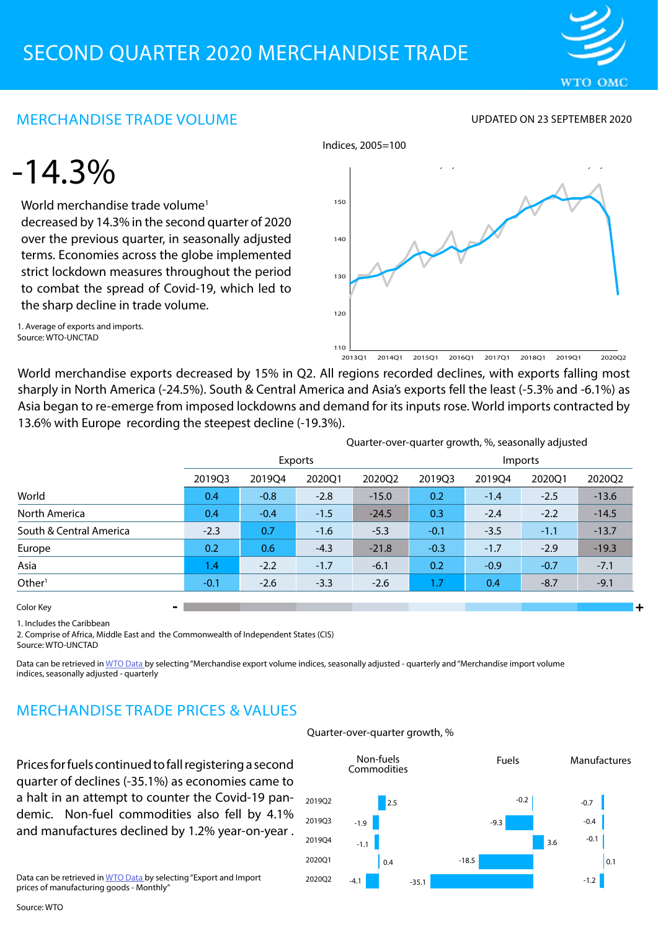

## MERCHANDISE TRADE VOLUME

UPDATED ON 23 SEPTEMBER 2020

## -14.3%

World merchandise trade volume<sup>1</sup> decreased by 14.3% in the second quarter of 2020 over the previous quarter, in seasonally adjusted terms. Economies across the globe implemented strict lockdown measures throughout the period to combat the spread of Covid-19, which led to the sharp decline in trade volume.

1. Average of exports and imports. Source: WTO-UNCTAD



World merchandise exports decreased by 15% in Q2. All regions recorded declines, with exports falling most sharply in North America (-24.5%). South & Central America and Asia's exports fell the least (-5.3% and -6.1%) as Asia began to re-emerge from imposed lockdowns and demand for its inputs rose. World imports contracted by 13.6% with Europe recording the steepest decline (-19.3%).

Indices, 2005=100

|                         | Quarter-over-quarter growth, %, seasonally adjusted |        |        |         |         |        |        |         |
|-------------------------|-----------------------------------------------------|--------|--------|---------|---------|--------|--------|---------|
|                         | Exports                                             |        |        |         | Imports |        |        |         |
|                         | 2019Q3                                              | 201904 | 2020Q1 | 202002  | 201903  | 201904 | 202001 | 2020Q2  |
| World                   | 0.4                                                 | $-0.8$ | $-2.8$ | $-15.0$ | 0.2     | $-1.4$ | $-2.5$ | $-13.6$ |
| North America           | 0.4                                                 | $-0.4$ | $-1.5$ | $-24.5$ | 0.3     | $-2.4$ | $-2.2$ | $-14.5$ |
| South & Central America | $-2.3$                                              | 0.7    | $-1.6$ | $-5.3$  | $-0.1$  | $-3.5$ | $-1.1$ | $-13.7$ |
| Europe                  | 0.2                                                 | 0.6    | $-4.3$ | $-21.8$ | $-0.3$  | $-1.7$ | $-2.9$ | $-19.3$ |
| Asia                    | 1.4                                                 | $-2.2$ | $-1.7$ | $-6.1$  | 0.2     | $-0.9$ | $-0.7$ | $-7.1$  |
| Other <sup>1</sup>      | $-0.1$                                              | $-2.6$ | $-3.3$ | $-2.6$  | 1.7     | 0.4    | $-8.7$ | $-9.1$  |
| Color Key               |                                                     |        |        |         |         |        |        |         |

1. Includes the Caribbean

2. Comprise of Africa, Middle East and the Commonwealth of Independent States (CIS) Source: WTO-UNCTAD

Data can be retrieved in [WTO Data b](https://data.wto.org/)y selecting "Merchandise export volume indices, seasonally adjusted - quarterly and "Merchandise import volume indices, seasonally adjusted - quarterly

## MERCHANDISE TRADE PRICES & VALUES

Prices for fuels continued to fall registering a second quarter of declines (-35.1%) as economies came to a halt in an attempt to counter the Covid-19 pandemic. Non-fuel commodities also fell by 4.1% and manufactures declined by 1.2% year-on-year .

Data can be retrieved in [WTO Data b](https://data.wto.org/)y selecting "Export and Import prices of manufacturing goods - Monthly"